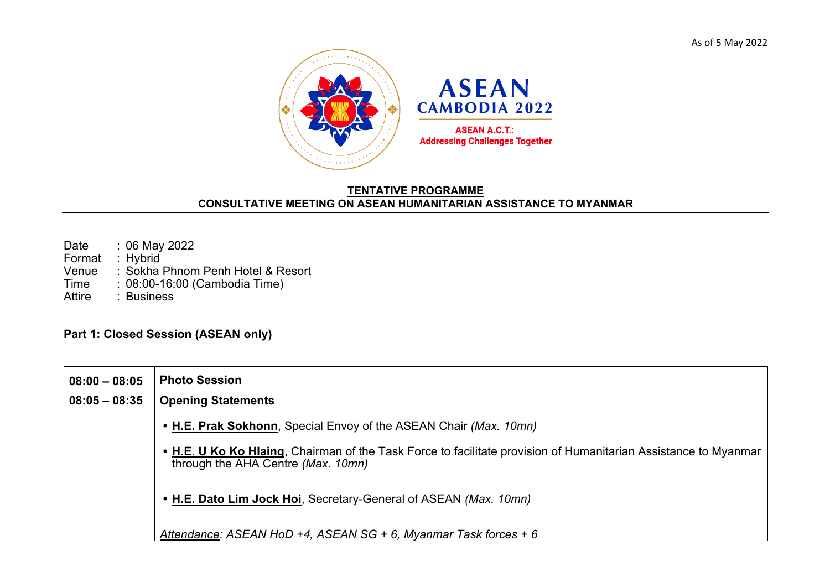As of 5 May 2022



## **TENTATIVE PROGRAMME CONSULTATIVE MEETING ON ASEAN HUMANITARIAN ASSISTANCE TO MYANMAR**

| Date          | $: 06$ May 2022                   |
|---------------|-----------------------------------|
| Format        | : $Hybrid$                        |
| Venue         | : Sokha Phnom Penh Hotel & Resort |
| Time          | : 08:00-16:00 (Cambodia Time)     |
| <b>Attire</b> | : Business                        |

## **Part 1: Closed Session (ASEAN only)**

| $08:00 - 08:05$ | <b>Photo Session</b>                                                                                                                                  |
|-----------------|-------------------------------------------------------------------------------------------------------------------------------------------------------|
| $08:05 - 08:35$ | <b>Opening Statements</b>                                                                                                                             |
|                 | • H.E. Prak Sokhonn, Special Envoy of the ASEAN Chair (Max. 10mn)                                                                                     |
|                 | • H.E. U Ko Ko Hlaing, Chairman of the Task Force to facilitate provision of Humanitarian Assistance to Myanmar<br>through the AHA Centre (Max. 10mn) |
|                 | • H.E. Dato Lim Jock Hoi, Secretary-General of ASEAN (Max. 10mn)                                                                                      |
|                 | Attendance: ASEAN HoD +4, ASEAN SG + 6, Myanmar Task forces + 6                                                                                       |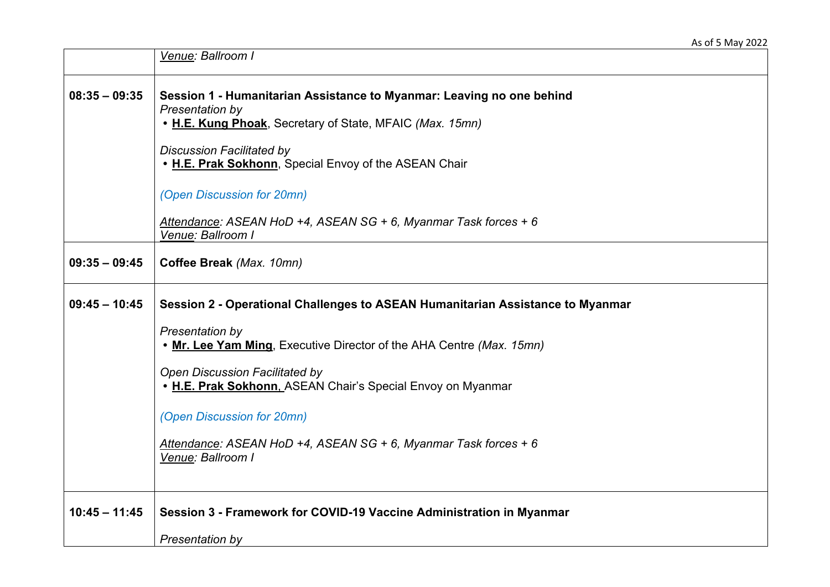|                 | Venue: Ballroom I                                                                                                                                                                                                                                 |
|-----------------|---------------------------------------------------------------------------------------------------------------------------------------------------------------------------------------------------------------------------------------------------|
| $08:35 - 09:35$ | Session 1 - Humanitarian Assistance to Myanmar: Leaving no one behind<br>Presentation by<br>• H.E. Kung Phoak, Secretary of State, MFAIC (Max. 15mn)<br><b>Discussion Facilitated by</b><br>. H.E. Prak Sokhonn, Special Envoy of the ASEAN Chair |
|                 | (Open Discussion for 20mn)<br>Attendance: ASEAN HoD +4, ASEAN SG + 6, Myanmar Task forces + 6<br>Venue: Ballroom I                                                                                                                                |
| $09:35 - 09:45$ | Coffee Break (Max. 10mn)                                                                                                                                                                                                                          |
| $09:45 - 10:45$ | Session 2 - Operational Challenges to ASEAN Humanitarian Assistance to Myanmar                                                                                                                                                                    |
|                 | Presentation by<br>. Mr. Lee Yam Ming, Executive Director of the AHA Centre (Max. 15mn)                                                                                                                                                           |
|                 | <b>Open Discussion Facilitated by</b><br>. H.E. Prak Sokhonn, ASEAN Chair's Special Envoy on Myanmar                                                                                                                                              |
|                 | (Open Discussion for 20mn)                                                                                                                                                                                                                        |
|                 | Attendance: ASEAN HoD +4, ASEAN SG + 6, Myanmar Task forces + 6<br>Venue: Ballroom I                                                                                                                                                              |
| $10:45 - 11:45$ | Session 3 - Framework for COVID-19 Vaccine Administration in Myanmar                                                                                                                                                                              |
|                 | Presentation by                                                                                                                                                                                                                                   |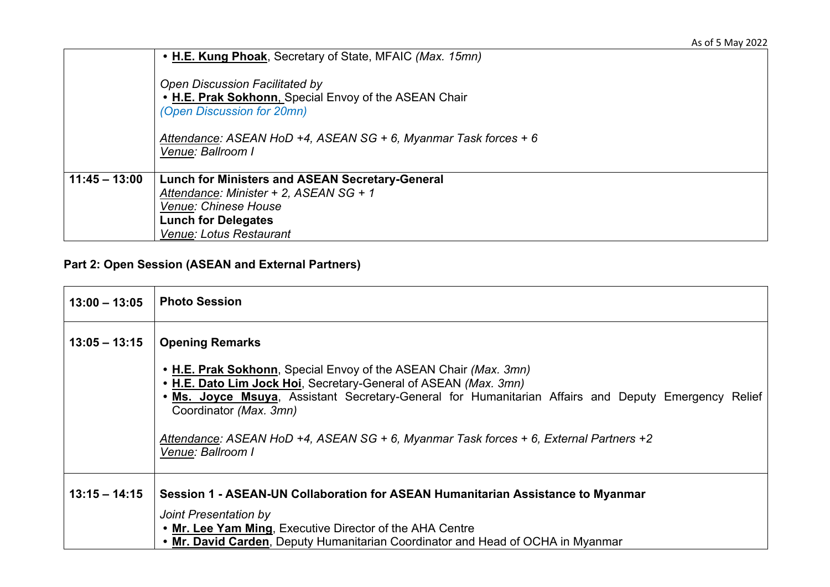|                 | • H.E. Kung Phoak, Secretary of State, MFAIC (Max. 15mn)                                                                                                                                                             |
|-----------------|----------------------------------------------------------------------------------------------------------------------------------------------------------------------------------------------------------------------|
|                 | <b>Open Discussion Facilitated by</b><br>. H.E. Prak Sokhonn. Special Envoy of the ASEAN Chair<br>(Open Discussion for 20mn)<br>Attendance: ASEAN HoD +4, ASEAN SG + 6, Myanmar Task forces + 6<br>Venue: Ballroom I |
| $11:45 - 13:00$ | <b>Lunch for Ministers and ASEAN Secretary-General</b><br>Attendance: Minister + 2, ASEAN SG + 1<br>Venue: Chinese House<br><b>Lunch for Delegates</b><br>Venue: Lotus Restaurant                                    |

## **Part 2: Open Session (ASEAN and External Partners)**

| $13:00 - 13:05$ | <b>Photo Session</b>                                                                                                                                                                                                                                                                                                                                                                                       |
|-----------------|------------------------------------------------------------------------------------------------------------------------------------------------------------------------------------------------------------------------------------------------------------------------------------------------------------------------------------------------------------------------------------------------------------|
| $13:05 - 13:15$ | <b>Opening Remarks</b><br>• H.E. Prak Sokhonn, Special Envoy of the ASEAN Chair (Max. 3mn)<br>• H.E. Dato Lim Jock Hoi, Secretary-General of ASEAN (Max. 3mn)<br>Ms. Joyce Msuya, Assistant Secretary-General for Humanitarian Affairs and Deputy Emergency Relief<br>Coordinator (Max. 3mn)<br>Attendance: ASEAN HoD +4, ASEAN SG + 6, Myanmar Task forces + 6, External Partners +2<br>Venue: Ballroom I |
| $13:15 - 14:15$ | Session 1 - ASEAN-UN Collaboration for ASEAN Humanitarian Assistance to Myanmar<br>Joint Presentation by<br>• Mr. Lee Yam Ming, Executive Director of the AHA Centre<br>• Mr. David Carden, Deputy Humanitarian Coordinator and Head of OCHA in Myanmar                                                                                                                                                    |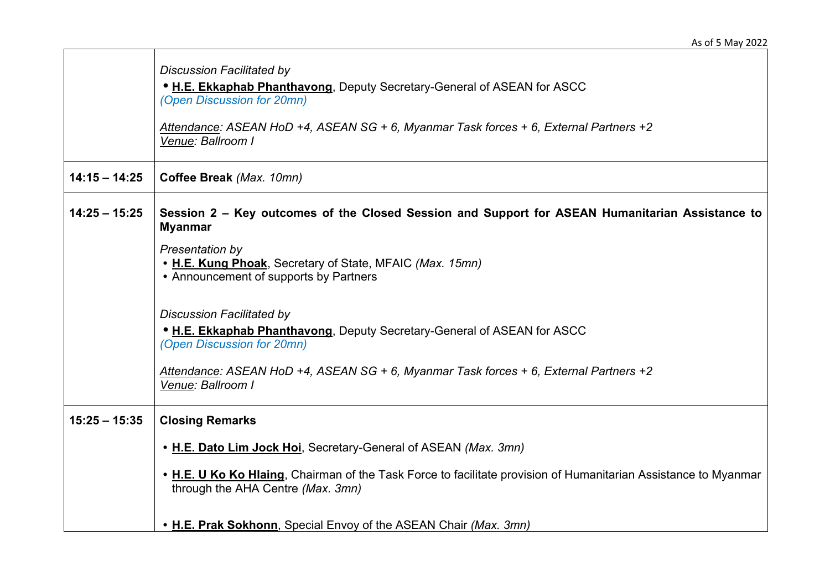|                 | <b>Discussion Facilitated by</b>                                                                                                                     |
|-----------------|------------------------------------------------------------------------------------------------------------------------------------------------------|
|                 | . H.E. Ekkaphab Phanthavong, Deputy Secretary-General of ASEAN for ASCC<br>(Open Discussion for 20mn)                                                |
|                 | Attendance: ASEAN HoD +4, ASEAN SG + 6, Myanmar Task forces + 6, External Partners +2<br>Venue: Ballroom I                                           |
| $14:15 - 14:25$ | Coffee Break (Max. 10mn)                                                                                                                             |
| $14:25 - 15:25$ | Session 2 – Key outcomes of the Closed Session and Support for ASEAN Humanitarian Assistance to<br><b>Myanmar</b>                                    |
|                 | Presentation by<br>• H.E. Kung Phoak, Secretary of State, MFAIC (Max. 15mn)<br>• Announcement of supports by Partners                                |
|                 | <b>Discussion Facilitated by</b><br>• H.E. Ekkaphab Phanthavong, Deputy Secretary-General of ASEAN for ASCC<br>(Open Discussion for 20mn)            |
|                 | Attendance: ASEAN HoD +4, ASEAN SG + 6, Myanmar Task forces + 6, External Partners +2<br>Venue: Ballroom I                                           |
| $15:25 - 15:35$ | <b>Closing Remarks</b>                                                                                                                               |
|                 | • H.E. Dato Lim Jock Hoi, Secretary-General of ASEAN (Max. 3mn)                                                                                      |
|                 | • H.E. U Ko Ko Hlaing, Chairman of the Task Force to facilitate provision of Humanitarian Assistance to Myanmar<br>through the AHA Centre (Max. 3mn) |
|                 | • H.E. Prak Sokhonn, Special Envoy of the ASEAN Chair (Max. 3mn)                                                                                     |